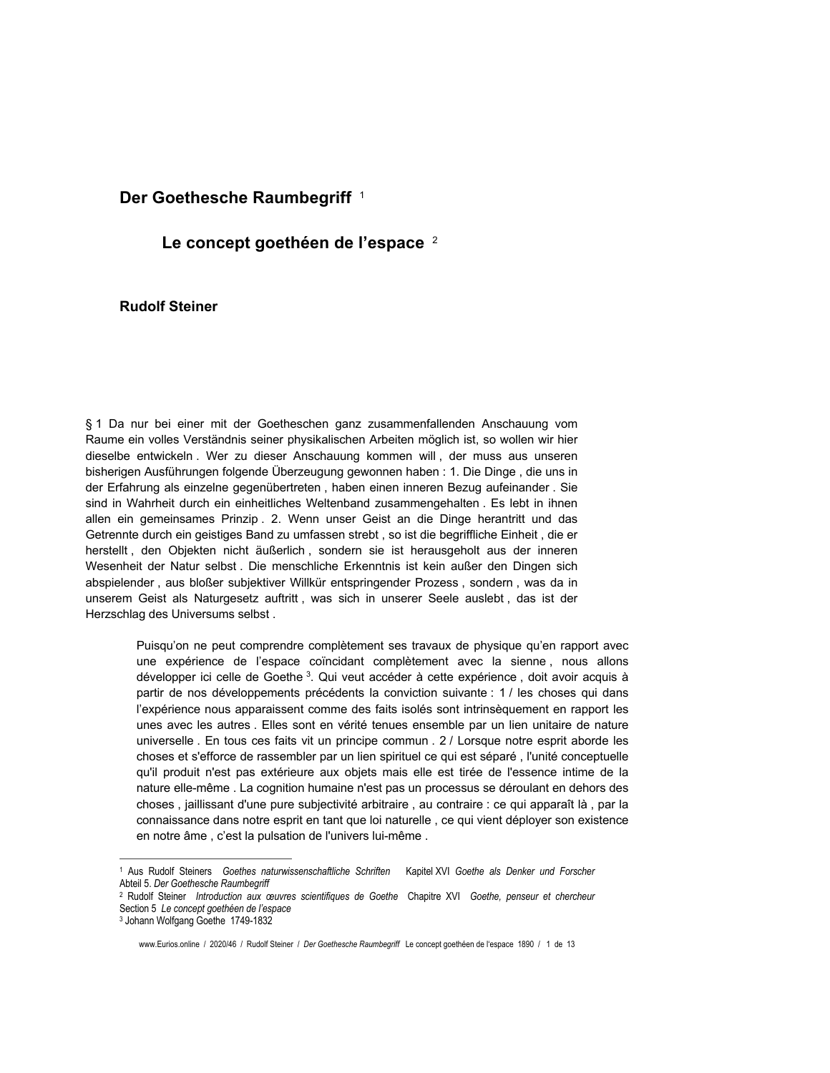## Der Goethesche Raumbegriff<sup>1</sup>

## Le concept goethéen de l'espace <sup>2</sup>

## **Rudolf Steiner**

§ 1 Da nur bei einer mit der Goetheschen ganz zusammenfallenden Anschauung vom Raume ein volles Verständnis seiner physikalischen Arbeiten möglich ist, so wollen wir hier dieselbe entwickeln. Wer zu dieser Anschauung kommen will, der muss aus unseren bisherigen Ausführungen folgende Überzeugung gewonnen haben : 1. Die Dinge, die uns in der Erfahrung als einzelne gegenübertreten, haben einen inneren Bezug aufeinander. Sie sind in Wahrheit durch ein einheitliches Weltenband zusammengehalten. Es lebt in ihnen allen ein gemeinsames Prinzip. 2. Wenn unser Geist an die Dinge herantritt und das Getrennte durch ein geistiges Band zu umfassen strebt, so ist die begriffliche Einheit, die er herstellt, den Objekten nicht äußerlich, sondern sie ist herausgeholt aus der inneren Wesenheit der Natur selbst. Die menschliche Erkenntnis ist kein außer den Dingen sich abspielender, aus bloßer subjektiver Willkür entspringender Prozess, sondern, was da in unserem Geist als Naturgesetz auftritt, was sich in unserer Seele auslebt, das ist der Herzschlag des Universums selbst.

> Puisqu'on ne peut comprendre complètement ses travaux de physique qu'en rapport avec une expérience de l'espace coïncidant complètement avec la sienne, nous allons développer ici celle de Goethe<sup>3</sup>. Qui veut accéder à cette expérience, doit avoir acquis à partir de nos développements précédents la conviction suivante : 1 / les choses qui dans l'expérience nous apparaissent comme des faits isolés sont intrinsèquement en rapport les unes avec les autres. Elles sont en vérité tenues ensemble par un lien unitaire de nature universelle. En tous ces faits vit un principe commun. 2 / Lorsque notre esprit aborde les choses et s'efforce de rassembler par un lien spirituel ce qui est séparé, l'unité conceptuelle qu'il produit n'est pas extérieure aux objets mais elle est tirée de l'essence intime de la nature elle-même . La cognition humaine n'est pas un processus se déroulant en dehors des choses, jaillissant d'une pure subjectivité arbitraire, au contraire : ce qui apparaît là, par la connaissance dans notre esprit en tant que loi naturelle, ce qui vient déployer son existence en notre âme, c'est la pulsation de l'univers lui-même.

<sup>&</sup>lt;sup>1</sup> Aus Rudolf Steiners Goethes naturwissenschaftliche Schriften Kapitel XVI Goethe als Denker und Forscher Abteil 5. Der Goethesche Raumbegriff

<sup>&</sup>lt;sup>2</sup> Rudolf Steiner Introduction aux œuvres scientifiques de Goethe Chapitre XVI Goethe, penseur et chercheur Section 5 Le concept goethéen de l'espace

<sup>&</sup>lt;sup>3</sup> Johann Wolfgang Goethe 1749-1832

www.Eurios.online / 2020/46 / Rudolf Steiner / Der Goethesche Raumbegriff Le concept goethéen de l'espace 1890 / 1 de 13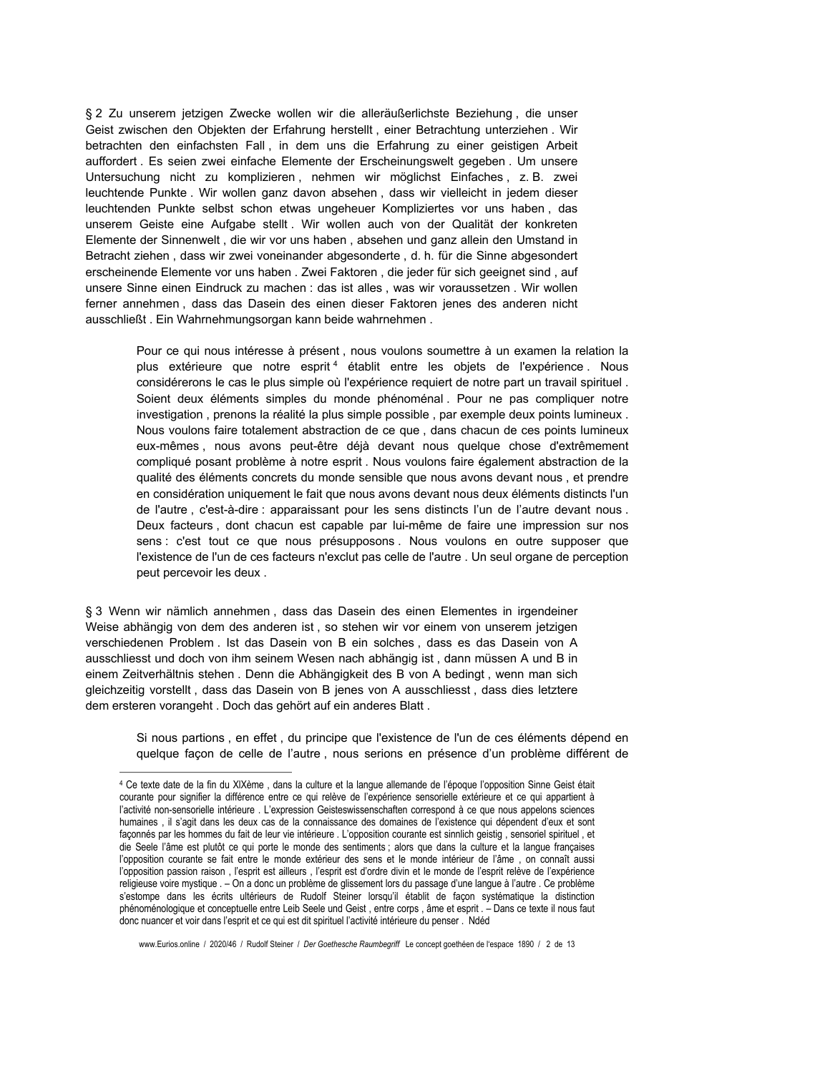§ 2 Zu unserem jetzigen Zwecke wollen wir die alleräußerlichste Beziehung, die unser Geist zwischen den Objekten der Erfahrung herstellt, einer Betrachtung unterziehen. Wir betrachten den einfachsten Fall, in dem uns die Erfahrung zu einer geistigen Arbeit auffordert, Es seien zwei einfache Elemente der Erscheinungswelt gegeben. Um unsere Untersuchung nicht zu komplizieren, nehmen wir möglichst Einfaches, z.B. zwei leuchtende Punkte. Wir wollen ganz davon absehen, dass wir vielleicht in jedem dieser leuchtenden Punkte selbst schon etwas ungeheuer Kompliziertes vor uns haben, das unserem Geiste eine Aufgabe stellt. Wir wollen auch von der Qualität der konkreten Elemente der Sinnenwelt, die wir vor uns haben, absehen und ganz allein den Umstand in Betracht ziehen, dass wir zwei voneinander abgesonderte, d. h. für die Sinne abgesondert erscheinende Elemente vor uns haben. Zwei Faktoren, die jeder für sich geeignet sind, auf unsere Sinne einen Eindruck zu machen : das ist alles, was wir voraussetzen. Wir wollen ferner annehmen, dass das Dasein des einen dieser Faktoren jenes des anderen nicht ausschließt. Ein Wahrnehmungsorgan kann beide wahrnehmen.

> Pour ce qui nous intéresse à présent, nous voulons soumettre à un examen la relation la plus extérieure que notre esprit<sup>4</sup> établit entre les objets de l'expérience. Nous considérerons le cas le plus simple où l'expérience requiert de notre part un travail spirituel. Soient deux éléments simples du monde phénoménal. Pour ne pas compliquer notre investigation, prenons la réalité la plus simple possible, par exemple deux points lumineux. Nous voulons faire totalement abstraction de ce que, dans chacun de ces points lumineux eux-mêmes, nous avons peut-être déjà devant nous quelque chose d'extrêmement compliqué posant problème à notre esprit . Nous voulons faire également abstraction de la qualité des éléments concrets du monde sensible que nous avons devant nous, et prendre en considération uniquement le fait que nous avons devant nous deux éléments distincts l'un de l'autre, c'est-à-dire : apparaissant pour les sens distincts l'un de l'autre devant nous. Deux facteurs, dont chacun est capable par lui-même de faire une impression sur nos sens : c'est tout ce que nous présupposons. Nous voulons en outre supposer que l'existence de l'un de ces facteurs n'exclut pas celle de l'autre . Un seul organe de perception peut percevoir les deux.

§ 3 Wenn wir nämlich annehmen, dass das Dasein des einen Elementes in irgendeiner Weise abhängig von dem des anderen ist, so stehen wir vor einem von unserem jetzigen verschiedenen Problem. Ist das Dasein von B ein solches, dass es das Dasein von A ausschliesst und doch von ihm seinem Wesen nach abhängig ist, dann müssen A und B in einem Zeitverhältnis stehen . Denn die Abhängigkeit des B von A bedingt, wenn man sich gleichzeitig vorstellt, dass das Dasein von B jenes von A ausschliesst, dass dies letztere dem ersteren vorangeht. Doch das gehört auf ein anderes Blatt.

> Si nous partions, en effet, du principe que l'existence de l'un de ces éléments dépend en quelque façon de celle de l'autre, nous serions en présence d'un problème différent de

www.Eurios.online / 2020/46 / Rudolf Steiner / Der Goethesche Raumbegriff Le concept goethéen de l'espace 1890 / 2 de 13

<sup>4</sup> Ce texte date de la fin du XIXème, dans la culture et la langue allemande de l'époque l'opposition Sinne Geist était courante pour signifier la différence entre ce qui relève de l'expérience sensorielle extérieure et ce qui appartient à l'activité non-sensorielle intérieure . L'expression Geisteswissenschaften correspond à ce que nous appelons sciences humaines, il s'agit dans les deux cas de la connaissance des domaines de l'existence qui dépendent d'eux et sont façonnés par les hommes du fait de leur vie intérieure . L'opposition courante est sinnlich geistig, sensoriel spirituel, et die Seele l'âme est plutôt ce qui porte le monde des sentiments ; alors que dans la culture et la langue françaises l'opposition courante se fait entre le monde extérieur des sens et le monde intérieur de l'âme, on connaît aussi l'opposition passion raison, l'esprit est ailleurs, l'esprit est d'ordre divin et le monde de l'esprit relève de l'expérience religieuse voire mystique . - On a donc un problème de glissement lors du passage d'une langue à l'autre . Ce problème s'estompe dans les écrits ultérieurs de Rudolf Steiner lorsqu'il établit de façon systématique la distinction phénoménologique et conceptuelle entre Leib Seele und Geist, entre corps, âme et esprit. - Dans ce texte il nous faut donc nuancer et voir dans l'esprit et ce qui est dit spirituel l'activité intérieure du penser . Ndéd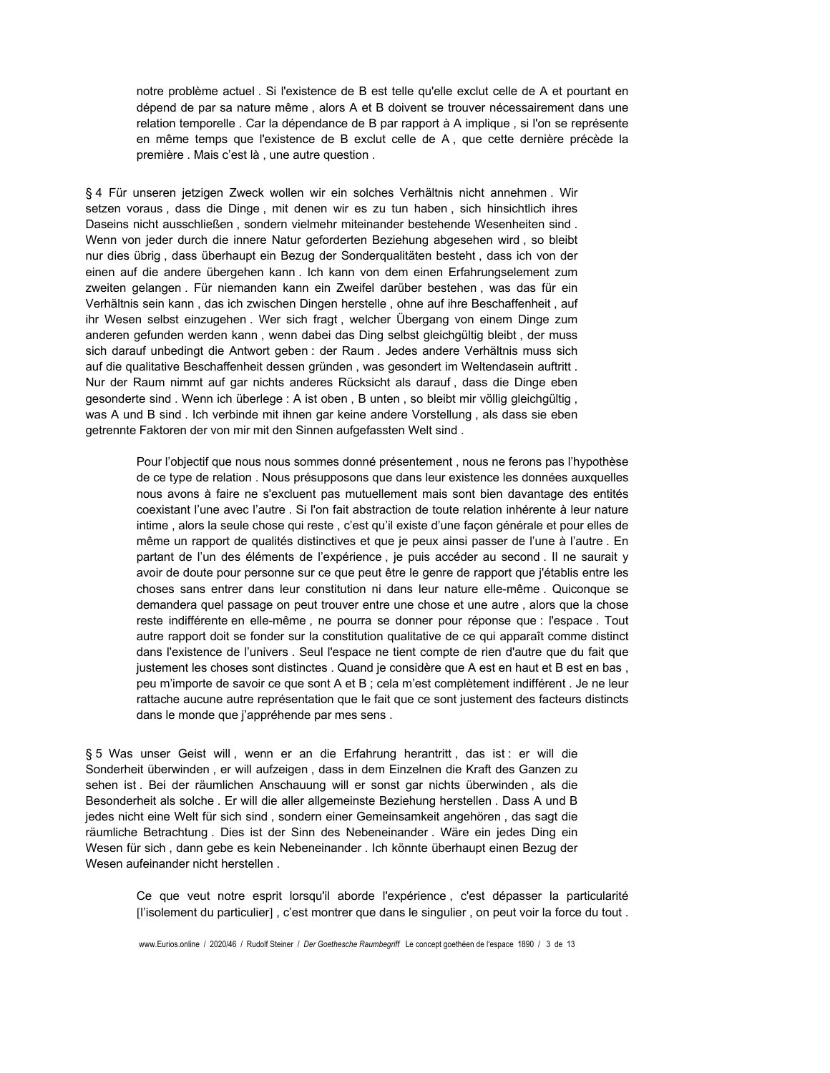notre problème actuel. Si l'existence de B est telle qu'elle exclut celle de A et pourtant en dépend de par sa nature même, alors A et B doivent se trouver nécessairement dans une relation temporelle . Car la dépendance de B par rapport à A implique, si l'on se représente en même temps que l'existence de B exclut celle de A, que cette dernière précède la première . Mais c'est là, une autre question.

§ 4 Für unseren jetzigen Zweck wollen wir ein solches Verhältnis nicht annehmen. Wir setzen voraus, dass die Dinge, mit denen wir es zu tun haben, sich hinsichtlich ihres Daseins nicht ausschließen, sondern vielmehr miteinander bestehende Wesenheiten sind. Wenn von jeder durch die innere Natur geforderten Beziehung abgesehen wird, so bleibt nur dies übrig, dass überhaupt ein Bezug der Sonderqualitäten besteht, dass ich von der einen auf die andere übergehen kann. Ich kann von dem einen Erfahrungselement zum zweiten gelangen. Für niemanden kann ein Zweifel darüber bestehen, was das für ein Verhältnis sein kann, das ich zwischen Dingen herstelle, ohne auf ihre Beschaffenheit, auf ihr Wesen selbst einzugehen. Wer sich fragt, welcher Übergang von einem Dinge zum anderen gefunden werden kann, wenn dabei das Ding selbst gleichgültig bleibt, der muss sich darauf unbedingt die Antwort geben : der Raum . Jedes andere Verhältnis muss sich auf die qualitative Beschaffenheit dessen gründen, was gesondert im Weltendasein auftritt. Nur der Raum nimmt auf gar nichts anderes Rücksicht als darauf, dass die Dinge eben gesonderte sind. Wenn ich überlege : A ist oben, B unten, so bleibt mir völlig gleichgültig, was A und B sind . Ich verbinde mit ihnen gar keine andere Vorstellung, als dass sie eben getrennte Faktoren der von mir mit den Sinnen aufgefassten Welt sind.

> Pour l'objectif que nous nous sommes donné présentement, nous ne ferons pas l'hypothèse de ce type de relation . Nous présupposons que dans leur existence les données auxquelles nous avons à faire ne s'excluent pas mutuellement mais sont bien davantage des entités coexistant l'une avec l'autre. Si l'on fait abstraction de toute relation inhérente à leur nature intime, alors la seule chose qui reste, c'est qu'il existe d'une façon générale et pour elles de même un rapport de qualités distinctives et que je peux ainsi passer de l'une à l'autre. En partant de l'un des éléments de l'expérience, je puis accéder au second. Il ne saurait y avoir de doute pour personne sur ce que peut être le genre de rapport que j'établis entre les choses sans entrer dans leur constitution ni dans leur nature elle-même. Quiconque se demandera quel passage on peut trouver entre une chose et une autre, alors que la chose reste indifférente en elle-même, ne pourra se donner pour réponse que : l'espace. Tout autre rapport doit se fonder sur la constitution qualitative de ce qui apparaît comme distinct dans l'existence de l'univers. Seul l'espace ne tient compte de rien d'autre que du fait que justement les choses sont distinctes . Quand je considère que A est en haut et B est en bas, peu m'importe de savoir ce que sont A et B ; cela m'est complètement indifférent . Je ne leur rattache aucune autre représentation que le fait que ce sont justement des facteurs distincts dans le monde que j'appréhende par mes sens.

§5 Was unser Geist will, wenn er an die Erfahrung herantritt, das ist : er will die Sonderheit überwinden, er will aufzeigen, dass in dem Einzelnen die Kraft des Ganzen zu sehen ist. Bei der räumlichen Anschauung will er sonst gar nichts überwinden, als die Besonderheit als solche. Er will die aller allgemeinste Beziehung herstellen. Dass A und B jedes nicht eine Welt für sich sind, sondern einer Gemeinsamkeit angehören, das sagt die räumliche Betrachtung. Dies ist der Sinn des Nebeneinander. Wäre ein jedes Ding ein Wesen für sich, dann gebe es kein Nebeneinander . Ich könnte überhaupt einen Bezug der Wesen aufeinander nicht herstellen.

> Ce que veut notre esprit lorsqu'il aborde l'expérience, c'est dépasser la particularité [l'isolement du particulier], c'est montrer que dans le singulier, on peut voir la force du tout.

www.Eurios.online / 2020/46 / Rudolf Steiner / Der Goethesche Raumbegriff Le concept goethéen de l'espace 1890 / 3 de 13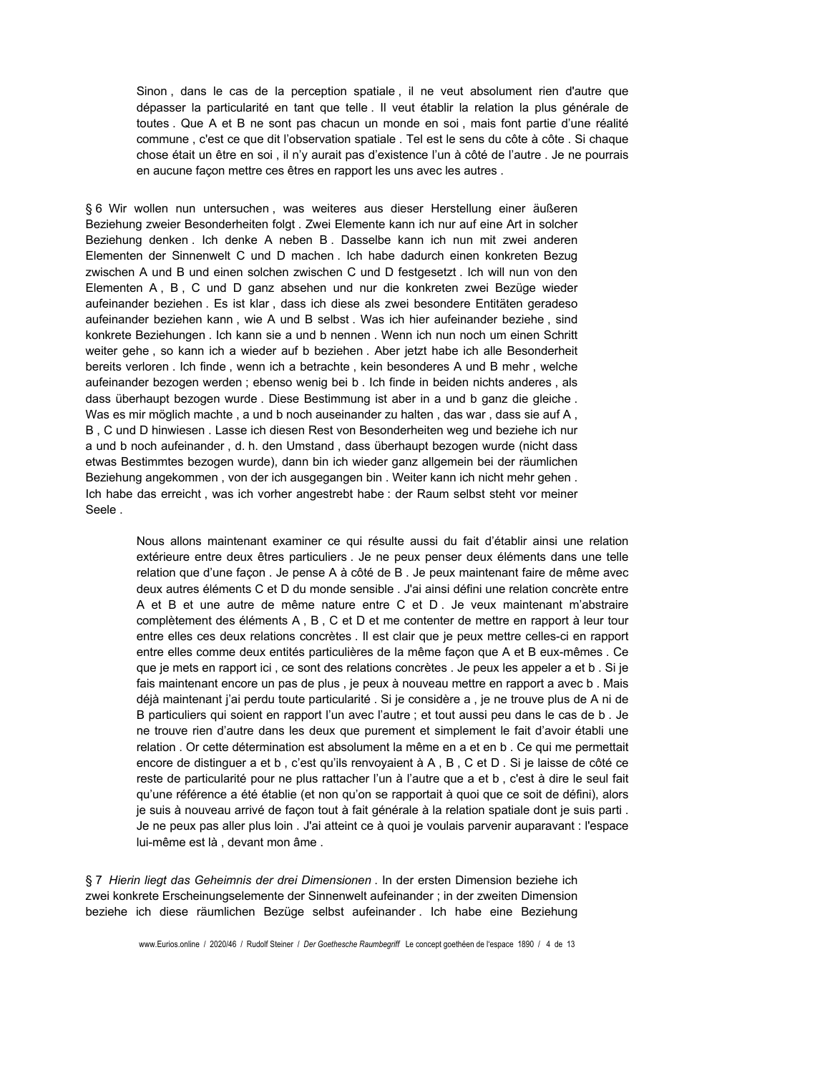Sinon, dans le cas de la perception spatiale, il ne veut absolument rien d'autre que dépasser la particularité en tant que telle. Il veut établir la relation la plus générale de toutes. Que A et B ne sont pas chacun un monde en soi, mais font partie d'une réalité commune, c'est ce que dit l'observation spatiale. Tel est le sens du côte à côte. Si chaque chose était un être en soi, il n'y aurait pas d'existence l'un à côté de l'autre. Je ne pourrais en aucune façon mettre ces êtres en rapport les uns avec les autres.

§ 6 Wir wollen nun untersuchen, was weiteres aus dieser Herstellung einer äußeren Beziehung zweier Besonderheiten folgt . Zwei Elemente kann ich nur auf eine Art in solcher Beziehung denken. Ich denke A neben B. Dasselbe kann ich nun mit zwei anderen Elementen der Sinnenwelt C und D machen. Ich habe dadurch einen konkreten Bezug zwischen A und B und einen solchen zwischen C und D festgesetzt. Ich will nun von den Elementen A, B, C und D ganz absehen und nur die konkreten zwei Bezüge wieder aufeinander beziehen. Es ist klar, dass ich diese als zwei besondere Entitäten geradeso aufeinander beziehen kann, wie A und B selbst. Was ich hier aufeinander beziehe, sind konkrete Beziehungen. Ich kann sie a und b nennen. Wenn ich nun noch um einen Schritt weiter gehe, so kann ich a wieder auf b beziehen. Aber jetzt habe ich alle Besonderheit bereits verloren. Ich finde, wenn ich a betrachte, kein besonderes A und B mehr, welche aufeinander bezogen werden : ebenso wenig bei b, Ich finde in beiden nichts anderes, als dass überhaupt bezogen wurde. Diese Bestimmung ist aber in a und b ganz die gleiche. Was es mir möglich machte, a und b noch auseinander zu halten, das war, dass sie auf A, B, C und D hinwiesen. Lasse ich diesen Rest von Besonderheiten weg und beziehe ich nur a und b noch aufeinander, d. h. den Umstand, dass überhaupt bezogen wurde (nicht dass etwas Bestimmtes bezogen wurde), dann bin ich wieder ganz allgemein bei der räumlichen Beziehung angekommen, von der ich ausgegangen bin. Weiter kann ich nicht mehr gehen. Ich habe das erreicht, was ich vorher angestrebt habe : der Raum selbst steht vor meiner Seele.

> Nous allons maintenant examiner ce qui résulte aussi du fait d'établir ainsi une relation extérieure entre deux êtres particuliers . Je ne peux penser deux éléments dans une telle relation que d'une façon . Je pense A à côté de B . Je peux maintenant faire de même avec deux autres éléments C et D du monde sensible . J'ai ainsi défini une relation concrète entre A et B et une autre de même nature entre C et D. Je veux maintenant m'abstraire complètement des éléments A, B, C et D et me contenter de mettre en rapport à leur tour entre elles ces deux relations concrètes. Il est clair que je peux mettre celles-ci en rapport entre elles comme deux entités particulières de la même façon que A et B eux-mêmes. Ce que je mets en rapport ici, ce sont des relations concrètes. Je peux les appeler a et b. Si je fais maintenant encore un pas de plus, je peux à nouveau mettre en rapport a avec b. Mais déjà maintenant j'ai perdu toute particularité . Si je considère a , je ne trouve plus de A ni de B particuliers qui soient en rapport l'un avec l'autre ; et tout aussi peu dans le cas de b. Je ne trouve rien d'autre dans les deux que purement et simplement le fait d'avoir établi une relation. Or cette détermination est absolument la même en a et en b. Ce qui me permettait encore de distinguer a et b, c'est qu'ils renvoyaient à A, B, C et D. Si je laisse de côté ce reste de particularité pour ne plus rattacher l'un à l'autre que a et b, c'est à dire le seul fait qu'une référence a été établie (et non qu'on se rapportait à quoi que ce soit de défini), alors je suis à nouveau arrivé de façon tout à fait générale à la relation spatiale dont je suis parti. Je ne peux pas aller plus loin . J'ai atteint ce à quoi je voulais parvenir auparavant : l'espace lui-même est là, devant mon âme.

§ 7 Hierin liegt das Geheimnis der drei Dimensionen . In der ersten Dimension beziehe ich zwei konkrete Erscheinungselemente der Sinnenwelt aufeinander ; in der zweiten Dimension beziehe ich diese räumlichen Bezüge selbst aufeinander. Ich habe eine Beziehung

www.Eurios.online / 2020/46 / Rudolf Steiner / Der Goethesche Raumbegriff Le concept goethéen de l'espace 1890 / 4 de 13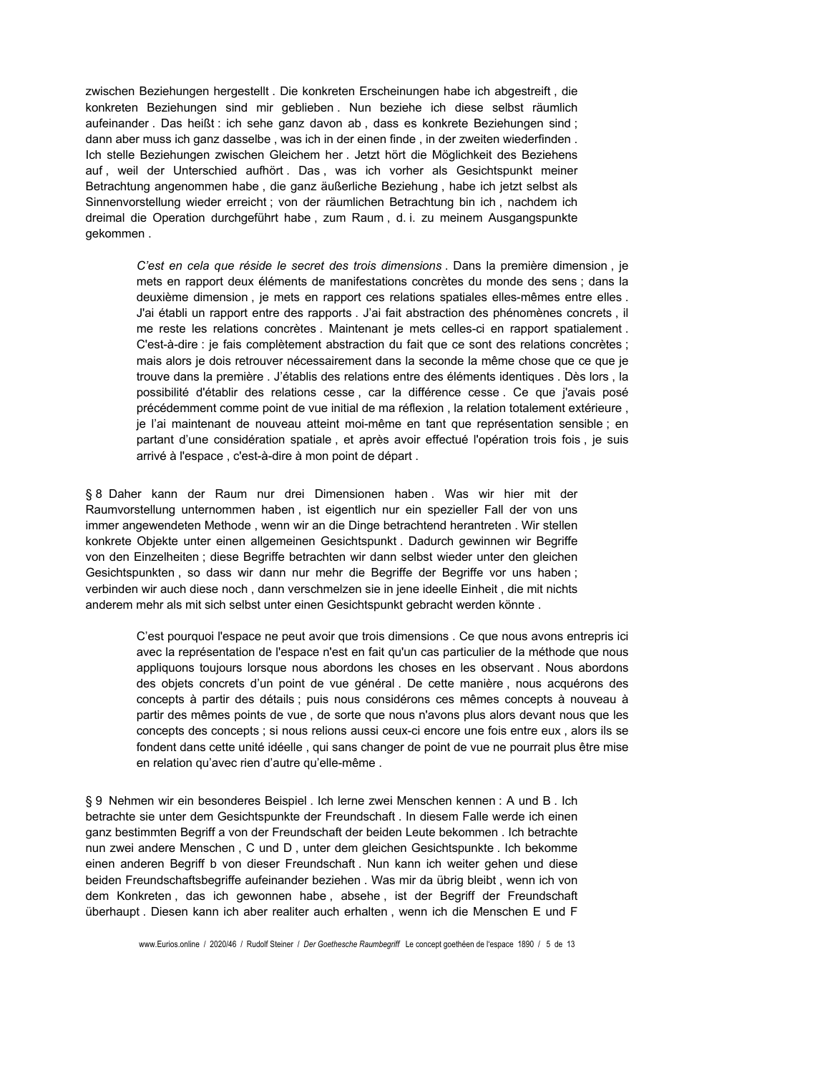zwischen Beziehungen hergestellt. Die konkreten Erscheinungen habe ich abgestreift, die konkreten Beziehungen sind mir geblieben. Nun beziehe ich diese selbst räumlich aufeinander. Das heißt: ich sehe ganz davon ab, dass es konkrete Beziehungen sind; dann aber muss ich ganz dasselbe, was ich in der einen finde, in der zweiten wiederfinden. Ich stelle Beziehungen zwischen Gleichem her. Jetzt hört die Möglichkeit des Beziehens auf, weil der Unterschied aufhört. Das, was ich vorher als Gesichtspunkt meiner Betrachtung angenommen habe, die ganz äußerliche Beziehung, habe ich jetzt selbst als Sinnenvorstellung wieder erreicht ; von der räumlichen Betrachtung bin ich, nachdem ich dreimal die Operation durchgeführt habe, zum Raum, d. i. zu meinem Ausgangspunkte qekommen.

> C'est en cela que réside le secret des trois dimensions. Dans la première dimension, je mets en rapport deux éléments de manifestations concrètes du monde des sens ; dans la deuxième dimension, je mets en rapport ces relations spatiales elles-mêmes entre elles. J'ai établi un rapport entre des rapports . J'ai fait abstraction des phénomènes concrets, il me reste les relations concrètes. Maintenant je mets celles-ci en rapport spatialement. C'est-à-dire : je fais complètement abstraction du fait que ce sont des relations concrètes ; mais alors je dois retrouver nécessairement dans la seconde la même chose que ce que je trouve dans la première . J'établis des relations entre des éléments identiques . Dès lors, la possibilité d'établir des relations cesse, car la différence cesse. Ce que j'avais posé précédemment comme point de vue initial de ma réflexion, la relation totalement extérieure, je l'ai maintenant de nouveau atteint moi-même en tant que représentation sensible ; en partant d'une considération spatiale, et après avoir effectué l'opération trois fois, je suis arrivé à l'espace, c'est-à-dire à mon point de départ.

§ 8 Daher kann der Raum nur drei Dimensionen haben. Was wir hier mit der Raumvorstellung unternommen haben, ist eigentlich nur ein spezieller Fall der von uns immer angewendeten Methode, wenn wir an die Dinge betrachtend herantreten. Wir stellen konkrete Objekte unter einen allgemeinen Gesichtspunkt. Dadurch gewinnen wir Begriffe von den Einzelheiten; diese Begriffe betrachten wir dann selbst wieder unter den gleichen Gesichtspunkten, so dass wir dann nur mehr die Begriffe der Begriffe vor uns haben; verbinden wir auch diese noch, dann verschmelzen sie in jene ideelle Einheit, die mit nichts anderem mehr als mit sich selbst unter einen Gesichtspunkt gebracht werden könnte.

> C'est pourquoi l'espace ne peut avoir que trois dimensions. Ce que nous avons entrepris ici avec la représentation de l'espace n'est en fait qu'un cas particulier de la méthode que nous appliquons toujours lorsque nous abordons les choses en les observant. Nous abordons des objets concrets d'un point de vue général. De cette manière, nous acquérons des concepts à partir des détails ; puis nous considérons ces mêmes concepts à nouveau à partir des mêmes points de vue, de sorte que nous n'avons plus alors devant nous que les concepts des concepts ; si nous relions aussi ceux-ci encore une fois entre eux, alors ils se fondent dans cette unité idéelle, qui sans changer de point de vue ne pourrait plus être mise en relation qu'avec rien d'autre qu'elle-même.

§ 9 Nehmen wir ein besonderes Beispiel . Ich lerne zwei Menschen kennen : A und B . Ich betrachte sie unter dem Gesichtspunkte der Freundschaft. In diesem Falle werde ich einen ganz bestimmten Begriff a von der Freundschaft der beiden Leute bekommen . Ich betrachte nun zwei andere Menschen, C und D, unter dem gleichen Gesichtspunkte. Ich bekomme einen anderen Begriff b von dieser Freundschaft. Nun kann ich weiter gehen und diese beiden Freundschaftsbegriffe aufeinander beziehen . Was mir da übrig bleibt, wenn ich von dem Konkreten, das ich gewonnen habe, absehe, ist der Begriff der Freundschaft überhaupt. Diesen kann ich aber realiter auch erhalten, wenn ich die Menschen E und F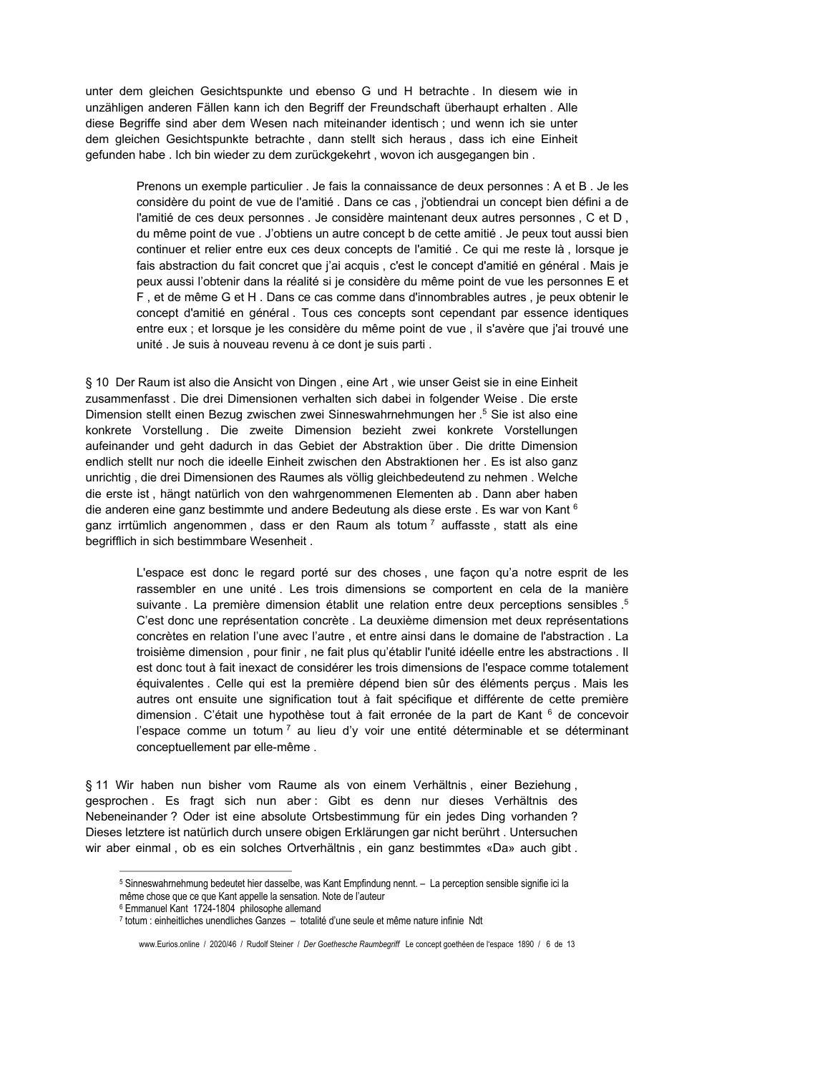unter dem gleichen Gesichtspunkte und ebenso G und H betrachte. In diesem wie in unzähligen anderen Fällen kann ich den Begriff der Freundschaft überhaupt erhalten. Alle diese Begriffe sind aber dem Wesen nach miteinander identisch; und wenn ich sie unter dem gleichen Gesichtspunkte betrachte, dann stellt sich heraus, dass ich eine Einheit gefunden habe. Ich bin wieder zu dem zurückgekehrt, wovon ich ausgegangen bin.

Prenons un exemple particulier . Je fais la connaissance de deux personnes : A et B. Je les considère du point de vue de l'amitié . Dans ce cas, j'obtiendrai un concept bien défini a de l'amitié de ces deux personnes. Je considère maintenant deux autres personnes, C et D, du même point de vue . J'obtiens un autre concept b de cette amitié . Je peux tout aussi bien continuer et relier entre eux ces deux concepts de l'amitié. Ce qui me reste là, lorsque je fais abstraction du fait concret que j'ai acquis, c'est le concept d'amitié en général. Mais je peux aussi l'obtenir dans la réalité si je considère du même point de vue les personnes E et F, et de même G et H. Dans ce cas comme dans d'innombrables autres, je peux obtenir le concept d'amitié en général. Tous ces concepts sont cependant par essence identiques entre eux ; et lorsque je les considère du même point de vue, il s'avère que j'ai trouvé une unité. Je suis à nouveau revenu à ce dont je suis parti.

§ 10 Der Raum ist also die Ansicht von Dingen, eine Art, wie unser Geist sie in eine Einheit zusammenfasst. Die drei Dimensionen verhalten sich dabei in folgender Weise. Die erste Dimension stellt einen Bezug zwischen zwei Sinneswahrnehmungen her .<sup>5</sup> Sie ist also eine konkrete Vorstellung. Die zweite Dimension bezieht zwei konkrete Vorstellungen aufeinander und geht dadurch in das Gebiet der Abstraktion über. Die dritte Dimension endlich stellt nur noch die ideelle Einheit zwischen den Abstraktionen her. Es ist also ganz unrichtig, die drei Dimensionen des Raumes als völlig gleichbedeutend zu nehmen. Welche die erste ist, hängt natürlich von den wahrgenommenen Elementen ab. Dann aber haben die anderen eine ganz bestimmte und andere Bedeutung als diese erste. Es war von Kant 6 ganz irrtümlich angenommen, dass er den Raum als totum<sup>7</sup> auffasste, statt als eine begrifflich in sich bestimmbare Wesenheit.

> L'espace est donc le regard porté sur des choses, une façon qu'a notre esprit de les rassembler en une unité. Les trois dimensions se comportent en cela de la manière suivante . La première dimension établit une relation entre deux perceptions sensibles .<sup>5</sup> C'est donc une représentation concrète . La deuxième dimension met deux représentations concrètes en relation l'une avec l'autre, et entre ainsi dans le domaine de l'abstraction. La troisième dimension, pour finir, ne fait plus qu'établir l'unité idéelle entre les abstractions. Il est donc tout à fait inexact de considérer les trois dimensions de l'espace comme totalement équivalentes. Celle qui est la première dépend bien sûr des éléments perçus. Mais les autres ont ensuite une signification tout à fait spécifique et différente de cette première dimension. C'était une hypothèse tout à fait erronée de la part de Kant <sup>6</sup> de concevoir l'espace comme un totum<sup>7</sup> au lieu d'y voir une entité déterminable et se déterminant conceptuellement par elle-même.

§ 11 Wir haben nun bisher vom Raume als von einem Verhältnis, einer Beziehung, gesprochen. Es fragt sich nun aber: Gibt es denn nur dieses Verhältnis des Nebeneinander? Oder ist eine absolute Ortsbestimmung für ein jedes Ding vorhanden? Dieses letztere ist natürlich durch unsere obigen Erklärungen gar nicht berührt. Untersuchen wir aber einmal, ob es ein solches Ortverhältnis, ein ganz bestimmtes «Da» auch gibt.

<sup>5</sup> Sinneswahrnehmung bedeutet hier dasselbe, was Kant Empfindung nennt. - La perception sensible signifie ici la même chose que ce que Kant appelle la sensation. Note de l'auteur

<sup>&</sup>lt;sup>6</sup> Emmanuel Kant 1724-1804 philosophe allemand

<sup>7</sup> totum : einheitliches unendliches Ganzes - totalité d'une seule et même nature infinie Ndt

www.Eurios.online / 2020/46 / Rudolf Steiner / Der Goethesche Raumbegriff Le concept goethéen de l'espace 1890 / 6 de 13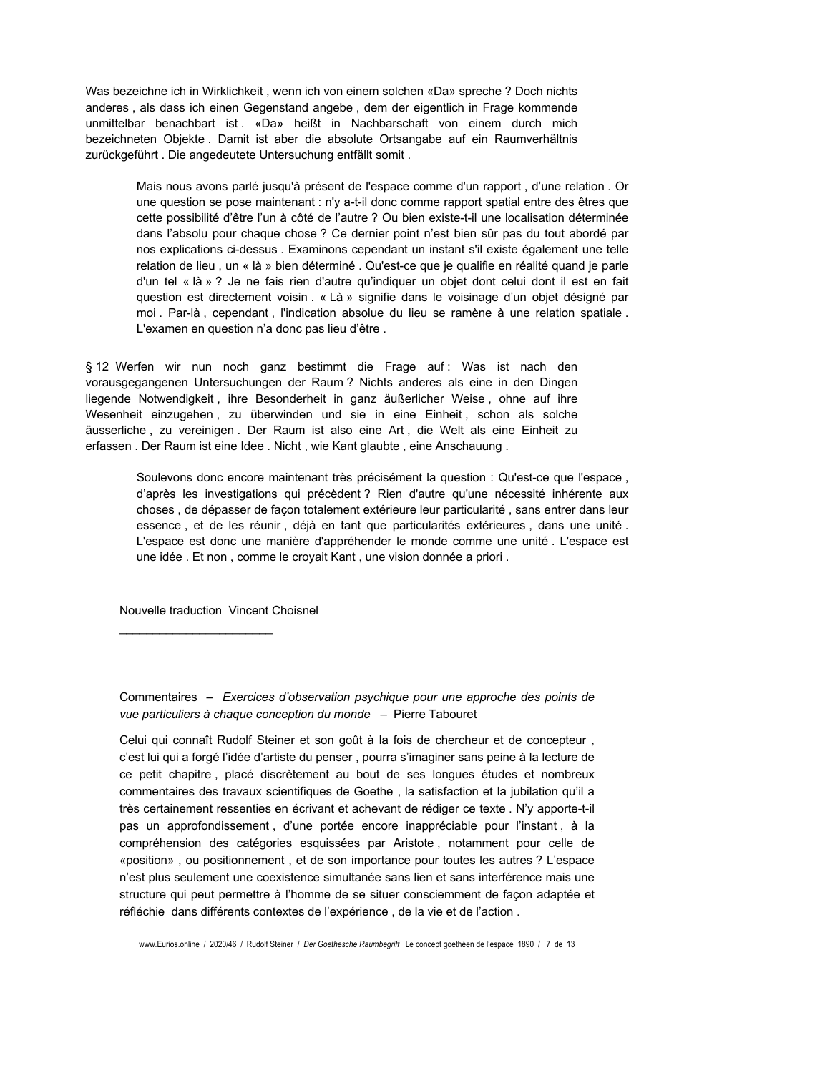Was bezeichne ich in Wirklichkeit, wenn ich von einem solchen «Da» spreche ? Doch nichts anderes, als dass ich einen Gegenstand angebe, dem der eigentlich in Frage kommende unmittelbar benachbart ist. «Da» heißt in Nachbarschaft von einem durch mich bezeichneten Objekte. Damit ist aber die absolute Ortsangabe auf ein Raumverhältnis zurückgeführt. Die angedeutete Untersuchung entfällt somit.

> Mais nous avons parlé jusqu'à présent de l'espace comme d'un rapport, d'une relation. Or une question se pose maintenant : n'y a-t-il donc comme rapport spatial entre des êtres que cette possibilité d'être l'un à côté de l'autre ? Ou bien existe-t-il une localisation déterminée dans l'absolu pour chaque chose ? Ce dernier point n'est bien sûr pas du tout abordé par nos explications ci-dessus. Examinons cependant un instant s'il existe également une telle relation de lieu, un « là » bien déterminé . Qu'est-ce que je qualifie en réalité quand je parle d'un tel « là » ? Je ne fais rien d'autre qu'indiquer un objet dont celui dont il est en fait question est directement voisin . « Là » signifie dans le voisinage d'un objet désigné par moi. Par-là, cependant, l'indication absolue du lieu se ramène à une relation spatiale. L'examen en question n'a donc pas lieu d'être.

§ 12 Werfen wir nun noch ganz bestimmt die Frage auf: Was ist nach den vorausgegangenen Untersuchungen der Raum? Nichts anderes als eine in den Dingen liegende Notwendigkeit, ihre Besonderheit in ganz äußerlicher Weise, ohne auf ihre Wesenheit einzugehen, zu überwinden und sie in eine Einheit, schon als solche äusserliche, zu vereinigen. Der Raum ist also eine Art, die Welt als eine Einheit zu erfassen. Der Raum ist eine Idee. Nicht, wie Kant glaubte, eine Anschauung.

> Soulevons donc encore maintenant très précisément la question : Qu'est-ce que l'espace, d'après les investigations qui précèdent ? Rien d'autre qu'une nécessité inhérente aux choses, de dépasser de façon totalement extérieure leur particularité, sans entrer dans leur essence, et de les réunir, déjà en tant que particularités extérieures, dans une unité. L'espace est donc une manière d'appréhender le monde comme une unité. L'espace est une idée. Et non, comme le croyait Kant, une vision donnée a priori.

Nouvelle traduction Vincent Choisnel

Commentaires - Exercices d'observation psychique pour une approche des points de vue particuliers à chaque conception du monde - Pierre Tabouret

Celui qui connaît Rudolf Steiner et son goût à la fois de chercheur et de concepteur, c'est lui qui a forgé l'idée d'artiste du penser, pourra s'imaginer sans peine à la lecture de ce petit chapitre, placé discrètement au bout de ses longues études et nombreux commentaires des travaux scientifiques de Goethe, la satisfaction et la jubilation qu'il a très certainement ressenties en écrivant et achevant de rédiger ce texte . N'y apporte-t-il pas un approfondissement, d'une portée encore inappréciable pour l'instant, à la compréhension des catégories esquissées par Aristote, notamment pour celle de «position», ou positionnement, et de son importance pour toutes les autres ? L'espace n'est plus seulement une coexistence simultanée sans lien et sans interférence mais une structure qui peut permettre à l'homme de se situer consciemment de façon adaptée et réfléchie dans différents contextes de l'expérience, de la vie et de l'action.

www.Eurios.online / 2020/46 / Rudolf Steiner / Der Goethesche Raumbegriff Le concept goethéen de l'espace 1890 / 7 de 13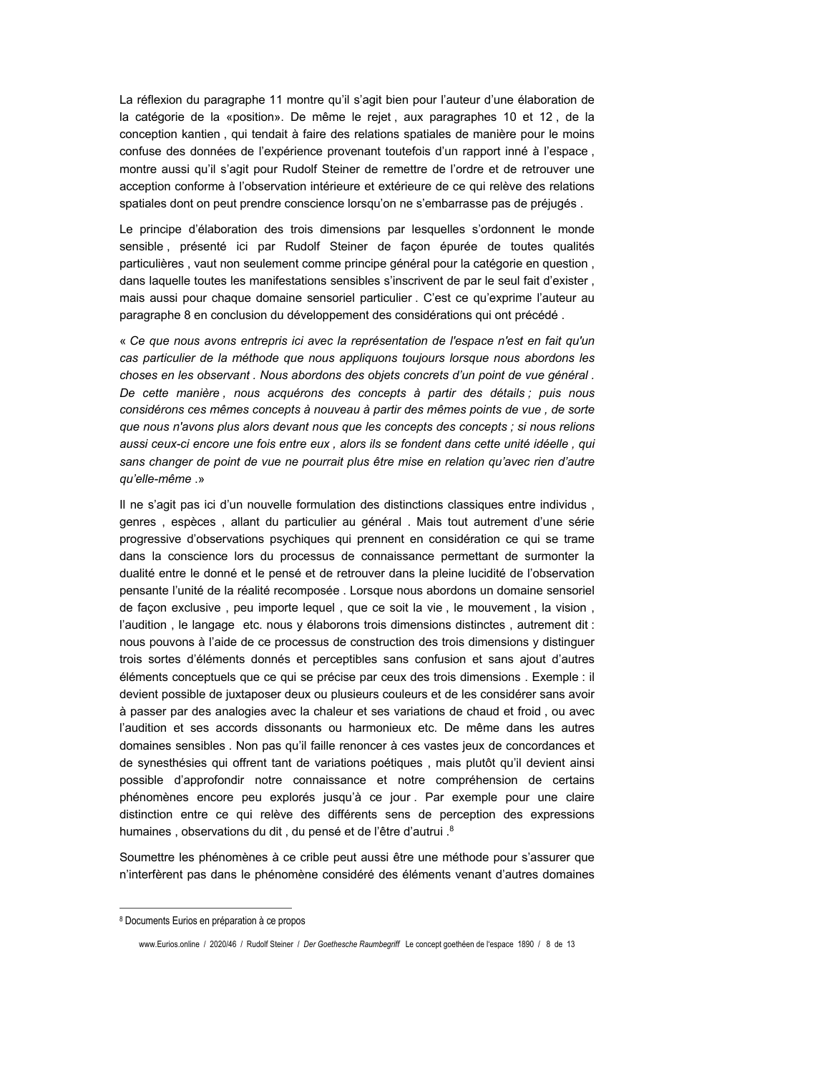La réflexion du paragraphe 11 montre qu'il s'agit bien pour l'auteur d'une élaboration de la catégorie de la «position». De même le rejet, aux paragraphes 10 et 12, de la conception kantien, qui tendait à faire des relations spatiales de manière pour le moins confuse des données de l'expérience provenant toutefois d'un rapport inné à l'espace, montre aussi qu'il s'agit pour Rudolf Steiner de remettre de l'ordre et de retrouver une acception conforme à l'observation intérieure et extérieure de ce qui relève des relations spatiales dont on peut prendre conscience lorsqu'on ne s'embarrasse pas de préjugés.

Le principe d'élaboration des trois dimensions par lesquelles s'ordonnent le monde sensible, présenté ici par Rudolf Steiner de façon épurée de toutes qualités particulières, vaut non seulement comme principe général pour la catégorie en question, dans laquelle toutes les manifestations sensibles s'inscrivent de par le seul fait d'exister, mais aussi pour chaque domaine sensoriel particulier . C'est ce qu'exprime l'auteur au paragraphe 8 en conclusion du développement des considérations qui ont précédé.

« Ce que nous avons entrepris ici avec la représentation de l'espace n'est en fait qu'un cas particulier de la méthode que nous appliquons toujours lorsque nous abordons les choses en les observant. Nous abordons des obiets concrets d'un point de vue général. De cette manière, nous acquérons des concepts à partir des détails; puis nous considérons ces mêmes concepts à nouveau à partir des mêmes points de vue, de sorte que nous n'avons plus alors devant nous que les concepts des concepts : si nous relions aussi ceux-ci encore une fois entre eux, alors ils se fondent dans cette unité idéelle, qui sans changer de point de vue ne pourrait plus être mise en relation qu'avec rien d'autre qu'elle-même.»

Il ne s'agit pas ici d'un nouvelle formulation des distinctions classiques entre individus, genres, espèces, allant du particulier au général. Mais tout autrement d'une série progressive d'observations psychiques qui prennent en considération ce qui se trame dans la conscience lors du processus de connaissance permettant de surmonter la dualité entre le donné et le pensé et de retrouver dans la pleine lucidité de l'observation pensante l'unité de la réalité recomposée. Lorsque nous abordons un domaine sensoriel de facon exclusive, peu importe lequel, que ce soit la vie, le mouvement, la vision, l'audition, le langage etc. nous y élaborons trois dimensions distinctes, autrement dit : nous pouvons à l'aide de ce processus de construction des trois dimensions y distinguer trois sortes d'éléments donnés et perceptibles sans confusion et sans ajout d'autres éléments conceptuels que ce qui se précise par ceux des trois dimensions . Exemple : il devient possible de juxtaposer deux ou plusieurs couleurs et de les considérer sans avoir à passer par des analogies avec la chaleur et ses variations de chaud et froid, ou avec l'audition et ses accords dissonants ou harmonieux etc. De même dans les autres domaines sensibles . Non pas qu'il faille renoncer à ces vastes jeux de concordances et de synesthésies qui offrent tant de variations poétiques, mais plutôt qu'il devient ainsi possible d'approfondir notre connaissance et notre compréhension de certains phénomènes encore peu explorés jusqu'à ce jour. Par exemple pour une claire distinction entre ce qui relève des différents sens de perception des expressions humaines, observations du dit, du pensé et de l'être d'autrui.<sup>8</sup>

Soumettre les phénomènes à ce crible peut aussi être une méthode pour s'assurer que n'interfèrent pas dans le phénomène considéré des éléments venant d'autres domaines

<sup>8</sup> Documents Eurios en préparation à ce propos

www.Eurios.online / 2020/46 / Rudolf Steiner / Der Goethesche Raumbegriff Le concept goethéen de l'espace 1890 / 8 de 13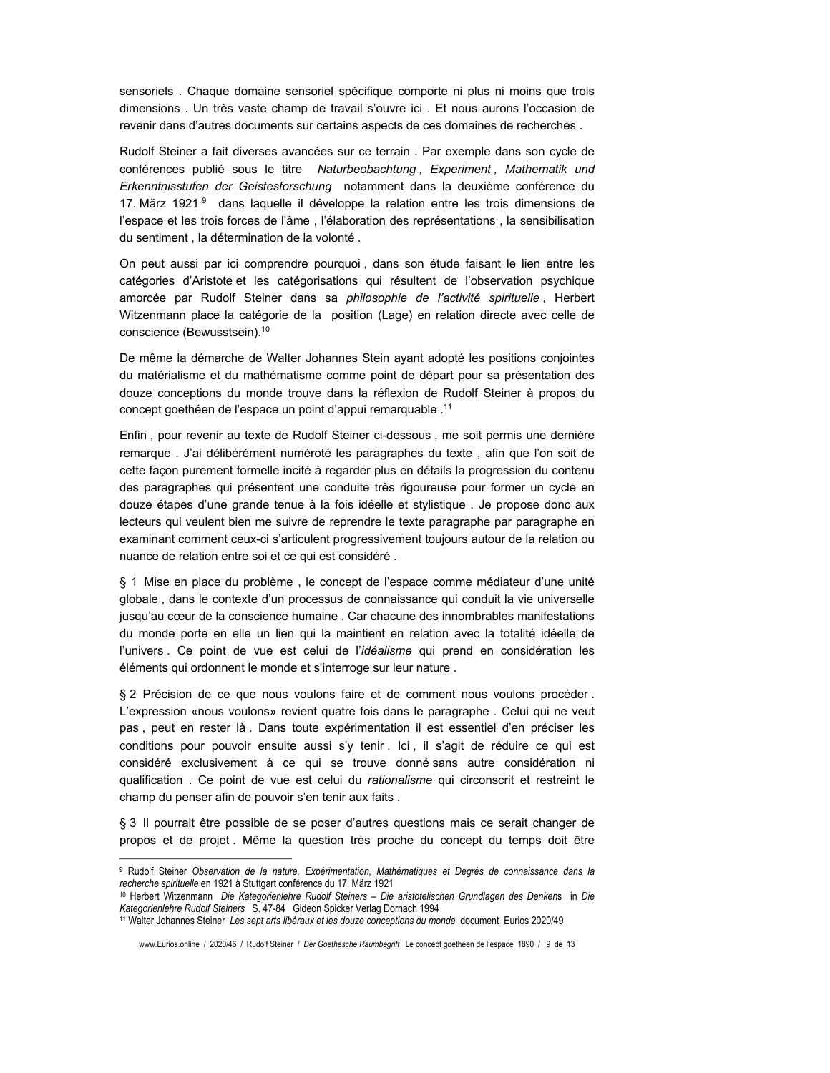sensoriels. Chaque domaine sensoriel spécifique comporte ni plus ni moins que trois dimensions. Un très vaste champ de travail s'ouvre ici. Et nous aurons l'occasion de revenir dans d'autres documents sur certains aspects de ces domaines de recherches.

Rudolf Steiner a fait diverses avancées sur ce terrain. Par exemple dans son cycle de conférences publié sous le titre Naturbeobachtung, Experiment, Mathematik und Erkenntnisstufen der Geistesforschung notamment dans la deuxième conférence du 17. März 1921<sup>9</sup> dans laquelle il développe la relation entre les trois dimensions de l'espace et les trois forces de l'âme, l'élaboration des représentations, la sensibilisation du sentiment, la détermination de la volonté.

On peut aussi par ici comprendre pourquoi, dans son étude faisant le lien entre les catégories d'Aristote et les catégorisations qui résultent de l'observation psychique amorcée par Rudolf Steiner dans sa philosophie de l'activité spirituelle, Herbert Witzenmann place la catégorie de la position (Lage) en relation directe avec celle de conscience (Bewusstsein).<sup>10</sup>

De même la démarche de Walter Johannes Stein ayant adopté les positions conjointes du matérialisme et du mathématisme comme point de départ pour sa présentation des douze conceptions du monde trouve dans la réflexion de Rudolf Steiner à propos du concept goethéen de l'espace un point d'appui remarquable .<sup>11</sup>

Enfin, pour revenir au texte de Rudolf Steiner ci-dessous, me soit permis une dernière remarque. J'ai délibérément numéroté les paragraphes du texte, afin que l'on soit de cette façon purement formelle incité à regarder plus en détails la progression du contenu des paragraphes qui présentent une conduite très rigoureuse pour former un cycle en douze étapes d'une grande tenue à la fois idéelle et stylistique. Je propose donc aux lecteurs qui veulent bien me suivre de reprendre le texte paragraphe par paragraphe en examinant comment ceux-ci s'articulent progressivement toujours autour de la relation ou nuance de relation entre soi et ce qui est considéré.

§ 1 Mise en place du problème, le concept de l'espace comme médiateur d'une unité globale, dans le contexte d'un processus de connaissance qui conduit la vie universelle jusqu'au cœur de la conscience humaine . Car chacune des innombrables manifestations du monde porte en elle un lien qui la maintient en relation avec la totalité idéelle de l'univers. Ce point de vue est celui de l'idéalisme qui prend en considération les éléments qui ordonnent le monde et s'interroge sur leur nature.

§ 2 Précision de ce que nous voulons faire et de comment nous voulons procéder. L'expression «nous voulons» revient quatre fois dans le paragraphe. Celui qui ne veut pas, peut en rester là. Dans toute expérimentation il est essentiel d'en préciser les conditions pour pouvoir ensuite aussi s'y tenir. Ici, il s'agit de réduire ce qui est considéré exclusivement à ce qui se trouve donné sans autre considération ni qualification. Ce point de vue est celui du rationalisme qui circonscrit et restreint le champ du penser afin de pouvoir s'en tenir aux faits.

§ 3 Il pourrait être possible de se poser d'autres questions mais ce serait changer de propos et de projet. Même la question très proche du concept du temps doit être

<sup>&</sup>lt;sup>9</sup> Rudolf Steiner Observation de la nature, Expérimentation, Mathématiques et Degrés de connaissance dans la recherche spirituelle en 1921 à Stuttgart conférence du 17. März 1921

<sup>&</sup>lt;sup>10</sup> Herbert Witzenmann Die Kategorienlehre Rudolf Steiners - Die aristotelischen Grundlagen des Denkens in Die Kategorienlehre Rudolf Steiners S. 47-84 Gideon Spicker Verlag Dornach 1994

<sup>11</sup> Walter Johannes Steiner Les sept arts libéraux et les douze conceptions du monde document Eurios 2020/49

www.Eurios.online / 2020/46 / Rudolf Steiner / Der Goethesche Raumbegriff Le concept goethéen de l'espace 1890 / 9 de 13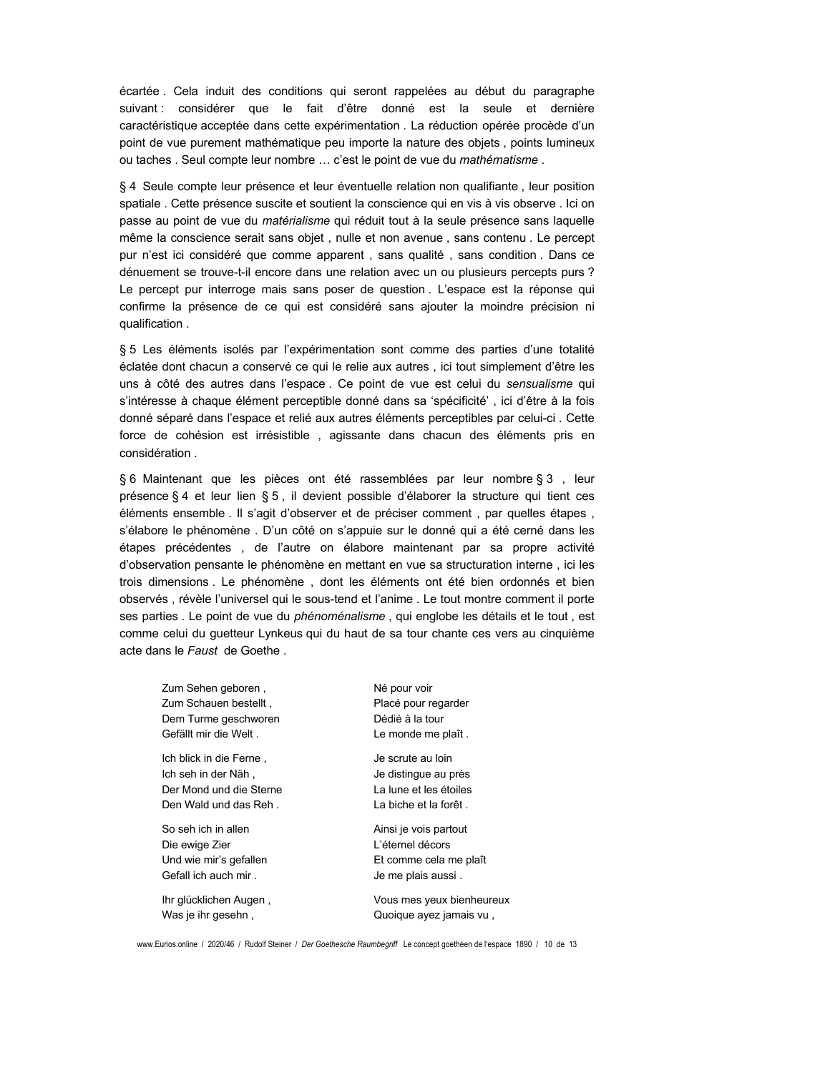écartée. Cela induit des conditions qui seront rappelées au début du paragraphe suivant : considérer que le fait d'être donné est la seule et dernière caractéristique acceptée dans cette expérimentation . La réduction opérée procède d'un point de vue purement mathématique peu importe la nature des objets, points lumineux ou taches . Seul compte leur nombre ... c'est le point de vue du mathématisme.

§ 4 Seule compte leur présence et leur éventuelle relation non qualifiante, leur position spatiale. Cette présence suscite et soutient la conscience qui en vis à vis observe. Ici on passe au point de vue du matérialisme qui réduit tout à la seule présence sans laquelle même la conscience serait sans objet, nulle et non avenue, sans contenu. Le percept pur n'est ici considéré que comme apparent, sans qualité, sans condition. Dans ce dénuement se trouve-t-il encore dans une relation avec un ou plusieurs percepts purs ? Le percept pur interroge mais sans poser de question. L'espace est la réponse qui confirme la présence de ce qui est considéré sans ajouter la moindre précision ni qualification.

§ 5 Les éléments isolés par l'expérimentation sont comme des parties d'une totalité éclatée dont chacun a conservé ce qui le relie aux autres, ici tout simplement d'être les uns à côté des autres dans l'espace. Ce point de vue est celui du sensualisme qui s'intéresse à chaque élément perceptible donné dans sa 'spécificité', ici d'être à la fois donné séparé dans l'espace et relié aux autres éléments perceptibles par celui-ci. Cette force de cohésion est irrésistible, agissante dans chacun des éléments pris en considération.

§ 6 Maintenant que les pièces ont été rassemblées par leur nombre § 3, leur présence § 4 et leur lien § 5, il devient possible d'élaborer la structure qui tient ces éléments ensemble . Il s'agit d'observer et de préciser comment, par quelles étapes, s'élabore le phénomène . D'un côté on s'appuie sur le donné qui a été cerné dans les étapes précédentes, de l'autre on élabore maintenant par sa propre activité d'observation pensante le phénomène en mettant en vue sa structuration interne, ici les trois dimensions. Le phénomène, dont les éléments ont été bien ordonnés et bien observés, révèle l'universel qui le sous-tend et l'anime. Le tout montre comment il porte ses parties . Le point de vue du phénoménalisme, qui englobe les détails et le tout, est comme celui du guetteur Lynkeus qui du haut de sa tour chante ces vers au cinquième acte dans le Faust de Goethe.

Zum Sehen geboren, Né pour voir Zum Schauen bestellt, Dem Turme geschworen Gefällt mir die Welt. Ich blick in die Ferne. Ich seh in der Näh, Der Mond und die Sterne Den Wald und das Reh.

So seh ich in allen Die ewige Zier Und wie mir's gefallen Gefall ich auch mir.

Ihr glücklichen Augen, Was je ihr gesehn,

Placé pour regarder Dédié à la tour Le monde me plaît.

Je scrute au loin Je distingue au près La lune et les étoiles La biche et la forêt.

Ainsi je vois partout L'éternel décors Et comme cela me plaît Je me plais aussi.

Vous mes yeux bienheureux Quoique ayez jamais vu,

www.Eurios.online / 2020/46 / Rudolf Steiner / Der Goethesche Raumbegriff Le concept goethéen de l'espace 1890 / 10 de 13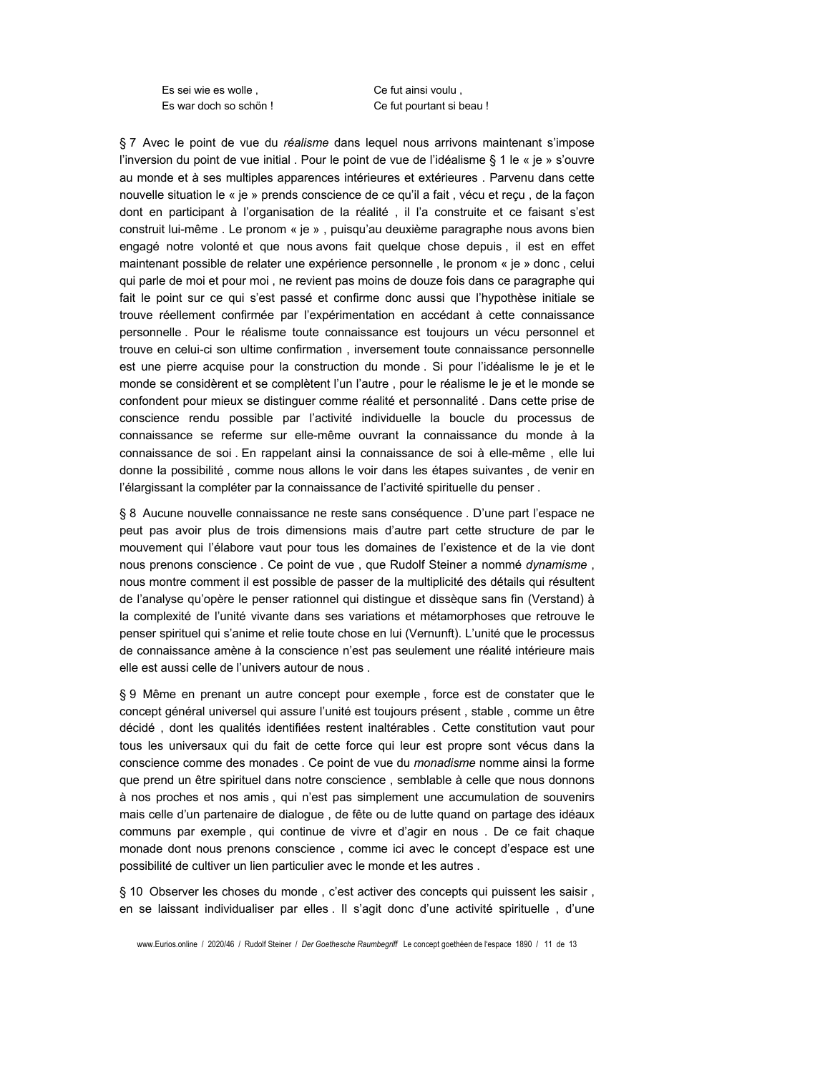Es sei wie es wolle. Es war doch so schön! Ce fut ainsi voulu, Ce fut pourtant si beau !

§ 7 Avec le point de vue du réalisme dans lequel nous arrivons maintenant s'impose l'inversion du point de vue initial. Pour le point de vue de l'idéalisme § 1 le « je » s'ouvre au monde et à ses multiples apparences intérieures et extérieures . Parvenu dans cette nouvelle situation le « je » prends conscience de ce qu'il a fait, vécu et reçu, de la façon dont en participant à l'organisation de la réalité, il l'a construite et ce faisant s'est construit lui-même . Le pronom « je », puisqu'au deuxième paragraphe nous avons bien engagé notre volonté et que nous avons fait quelque chose depuis, il est en effet maintenant possible de relater une expérience personnelle, le pronom « je » donc, celui qui parle de moi et pour moi, ne revient pas moins de douze fois dans ce paragraphe qui fait le point sur ce qui s'est passé et confirme donc aussi que l'hypothèse initiale se trouve réellement confirmée par l'expérimentation en accédant à cette connaissance personnelle. Pour le réalisme toute connaissance est toujours un vécu personnel et trouve en celui-ci son ultime confirmation, inversement toute connaissance personnelle est une pierre acquise pour la construction du monde. Si pour l'idéalisme le je et le monde se considèrent et se complètent l'un l'autre, pour le réalisme le je et le monde se confondent pour mieux se distinguer comme réalité et personnalité. Dans cette prise de conscience rendu possible par l'activité individuelle la boucle du processus de connaissance se referme sur elle-même ouvrant la connaissance du monde à la connaissance de soi. En rappelant ainsi la connaissance de soi à elle-même, elle lui donne la possibilité, comme nous allons le voir dans les étapes suivantes, de venir en l'élargissant la compléter par la connaissance de l'activité spirituelle du penser.

§ 8 Aucune nouvelle connaissance ne reste sans conséquence . D'une part l'espace ne peut pas avoir plus de trois dimensions mais d'autre part cette structure de par le mouvement qui l'élabore vaut pour tous les domaines de l'existence et de la vie dont nous prenons conscience. Ce point de vue, que Rudolf Steiner a nommé dynamisme, nous montre comment il est possible de passer de la multiplicité des détails qui résultent de l'analyse qu'opère le penser rationnel qui distingue et dissèque sans fin (Verstand) à la complexité de l'unité vivante dans ses variations et métamorphoses que retrouve le penser spirituel qui s'anime et relie toute chose en lui (Vernunft). L'unité que le processus de connaissance amène à la conscience n'est pas seulement une réalité intérieure mais elle est aussi celle de l'univers autour de nous.

§ 9 Même en prenant un autre concept pour exemple, force est de constater que le concept général universel qui assure l'unité est toujours présent, stable, comme un être décidé, dont les qualités identifiées restent inaltérables. Cette constitution vaut pour tous les universaux qui du fait de cette force qui leur est propre sont vécus dans la conscience comme des monades. Ce point de vue du monadisme nomme ainsi la forme que prend un être spirituel dans notre conscience, semblable à celle que nous donnons à nos proches et nos amis, qui n'est pas simplement une accumulation de souvenirs mais celle d'un partenaire de dialogue, de fête ou de lutte quand on partage des idéaux communs par exemple, qui continue de vivre et d'agir en nous. De ce fait chaque monade dont nous prenons conscience, comme ici avec le concept d'espace est une possibilité de cultiver un lien particulier avec le monde et les autres.

§ 10 Observer les choses du monde, c'est activer des concepts qui puissent les saisir, en se laissant individualiser par elles. Il s'agit donc d'une activité spirituelle, d'une

www.Eurios.online / 2020/46 / Rudolf Steiner / Der Goethesche Raumbegriff Le concept goethéen de l'espace 1890 / 11 de 13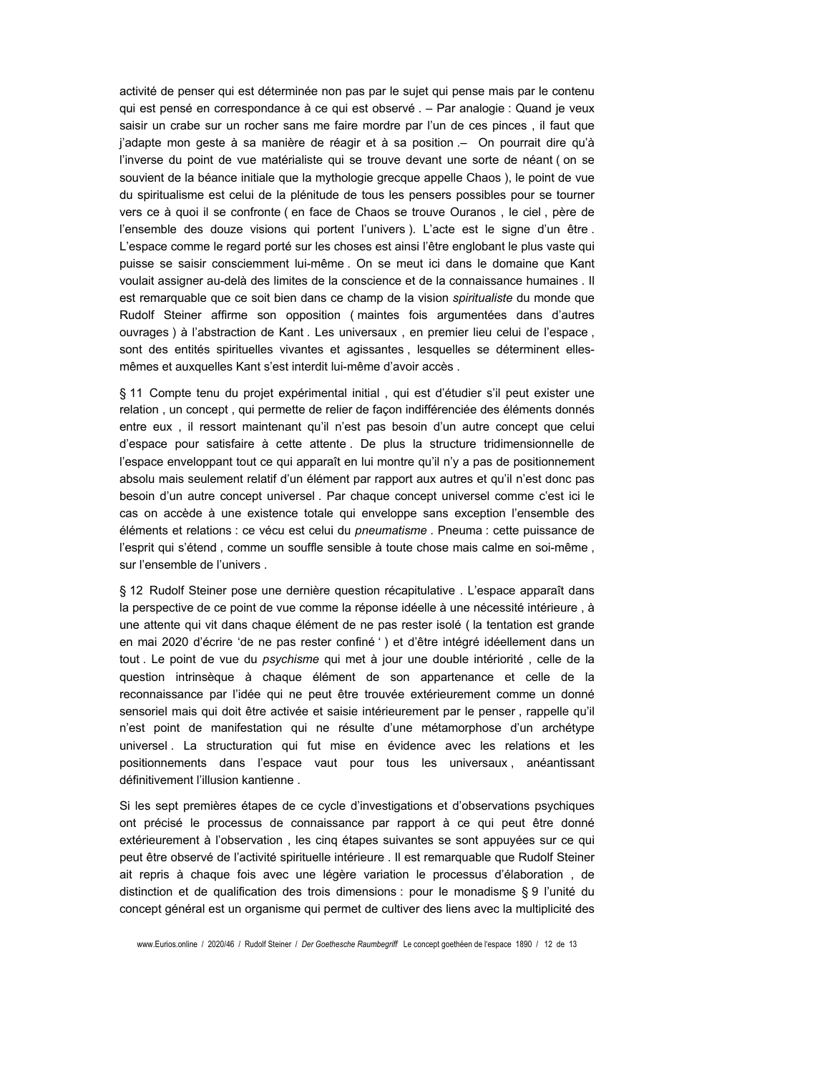activité de penser qui est déterminée non pas par le sujet qui pense mais par le contenu qui est pensé en correspondance à ce qui est observé . - Par analogie : Quand je veux saisir un crabe sur un rocher sans me faire mordre par l'un de ces pinces, il faut que j'adapte mon geste à sa manière de réagir et à sa position .- On pourrait dire qu'à l'inverse du point de vue matérialiste qui se trouve devant une sorte de néant (on se souvient de la béance initiale que la mythologie grecque appelle Chaos), le point de vue du spiritualisme est celui de la plénitude de tous les pensers possibles pour se tourner vers ce à quoi il se confronte (en face de Chaos se trouve Ouranos, le ciel, père de l'ensemble des douze visions qui portent l'univers). L'acte est le signe d'un être. L'espace comme le regard porté sur les choses est ainsi l'être englobant le plus vaste qui puisse se saisir consciemment lui-même. On se meut ici dans le domaine que Kant voulait assigner au-delà des limites de la conscience et de la connaissance humaines . Il est remarquable que ce soit bien dans ce champ de la vision spiritualiste du monde que Rudolf Steiner affirme son opposition (maintes fois argumentées dans d'autres ouvrages) à l'abstraction de Kant. Les universaux, en premier lieu celui de l'espace, sont des entités spirituelles vivantes et agissantes, lesquelles se déterminent ellesmêmes et auxquelles Kant s'est interdit lui-même d'avoir accès.

§ 11 Compte tenu du projet expérimental initial, qui est d'étudier s'il peut exister une relation, un concept, qui permette de relier de façon indifférenciée des éléments donnés entre eux, il ressort maintenant qu'il n'est pas besoin d'un autre concept que celui d'espace pour satisfaire à cette attente. De plus la structure tridimensionnelle de l'espace enveloppant tout ce qui apparaît en lui montre qu'il n'y a pas de positionnement absolu mais seulement relatif d'un élément par rapport aux autres et qu'il n'est donc pas besoin d'un autre concept universel. Par chaque concept universel comme c'est ici le cas on accède à une existence totale qui enveloppe sans exception l'ensemble des éléments et relations : ce vécu est celui du pneumatisme . Pneuma : cette puissance de l'esprit qui s'étend, comme un souffle sensible à toute chose mais calme en soi-même, sur l'ensemble de l'univers.

§ 12 Rudolf Steiner pose une dernière question récapitulative . L'espace apparaît dans la perspective de ce point de vue comme la réponse idéelle à une nécessité intérieure, à une attente qui vit dans chaque élément de ne pas rester isolé (la tentation est grande en mai 2020 d'écrire 'de ne pas rester confiné ') et d'être intégré idéellement dans un tout. Le point de vue du psychisme qui met à jour une double intériorité, celle de la question intrinsèque à chaque élément de son appartenance et celle de la reconnaissance par l'idée qui ne peut être trouvée extérieurement comme un donné sensoriel mais qui doit être activée et saisie intérieurement par le penser, rappelle qu'il n'est point de manifestation qui ne résulte d'une métamorphose d'un archétype universel. La structuration qui fut mise en évidence avec les relations et les positionnements dans l'espace vaut pour tous les universaux, anéantissant définitivement l'illusion kantienne.

Si les sept premières étapes de ce cycle d'investigations et d'observations psychiques ont précisé le processus de connaissance par rapport à ce qui peut être donné extérieurement à l'observation, les cinq étapes suivantes se sont appuyées sur ce qui peut être observé de l'activité spirituelle intérieure . Il est remarquable que Rudolf Steiner ait repris à chaque fois avec une légère variation le processus d'élaboration, de distinction et de qualification des trois dimensions : pour le monadisme § 9 l'unité du concept général est un organisme qui permet de cultiver des liens avec la multiplicité des